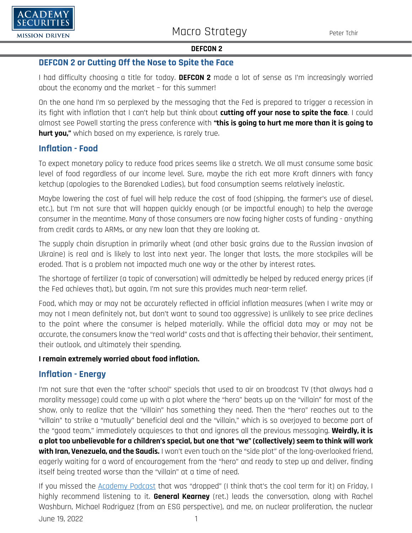

### **DEFCON 2 or Cutting Off the Nose to Spite the Face**

I had difficulty choosing a title for today. **DEFCON 2** made a lot of sense as I'm increasingly worried about the economy and the market – for this summer!

On the one hand I'm so perplexed by the messaging that the Fed is prepared to trigger a recession in its fight with inflation that I can't help but think about **cutting off your nose to spite the face**. I could almost see Powell starting the press conference with **"this is going to hurt me more than it is going to hurt you,"** which based on my experience, is rarely true.

## **Inflation - Food**

To expect monetary policy to reduce food prices seems like a stretch. We all must consume some basic level of food regardless of our income level. Sure, maybe the rich eat more Kraft dinners with fancy ketchup (apologies to the Barenaked Ladies), but food consumption seems relatively inelastic.

Maybe lowering the cost of fuel will help reduce the cost of food (shipping, the farmer's use of diesel, etc.), but I'm not sure that will happen quickly enough (or be impactful enough) to help the average consumer in the meantime. Many of those consumers are now facing higher costs of funding - anything from credit cards to ARMs, or any new loan that they are looking at.

The supply chain disruption in primarily wheat (and other basic grains due to the Russian invasion of Ukraine) is real and is likely to last into next year. The longer that lasts, the more stockpiles will be eroded. That is a problem not impacted much one way or the other by interest rates.

The shortage of fertilizer (a topic of conversation) will admittedly be helped by reduced energy prices (if the Fed achieves that), but again, I'm not sure this provides much near-term relief.

Food, which may or may not be accurately reflected in official inflation measures (when I write may or may not I mean definitely not, but don't want to sound too aggressive) is unlikely to see price declines to the point where the consumer is helped materially. While the official data may or may not be accurate, the consumers know the "real world" costs and that is affecting their behavior, their sentiment, their outlook, and ultimately their spending.

### **I remain extremely worried about food inflation.**

## **Inflation - Energy**

I'm not sure that even the "after school" specials that used to air on broadcast TV (that always had a morality message) could come up with a plot where the "hero" beats up on the "villain" for most of the show, only to realize that the "villain" has something they need. Then the "hero" reaches out to the "villain" to strike a "mutually" beneficial deal and the "villain," which is so overjoyed to become part of the "good team," immediately acquiesces to that and ignores all the previous messaging. **Weirdly, it is a plot too unbelievable for a children's special, but one that "we" (collectively) seem to think will work with Iran, Venezuela, and the Saudis.** I won't even touch on the "side plot" of the long-overlooked friend, eagerly waiting for a word of encouragement from the "hero" and ready to step up and deliver, finding itself being treated worse than the "villain" at a time of need.

June 19, 2022 1 If you missed the [Academy Podcast](https://www.academysecurities.com/geopolitical/geopolitical-podcasts/) that was "dropped" (I think that's the cool term for it) on Friday, I highly recommend listening to it. **General Kearney** (ret.) leads the conversation, along with Rachel Washburn, Michael Rodriguez (from an ESG perspective), and me, on nuclear proliferation, the nuclear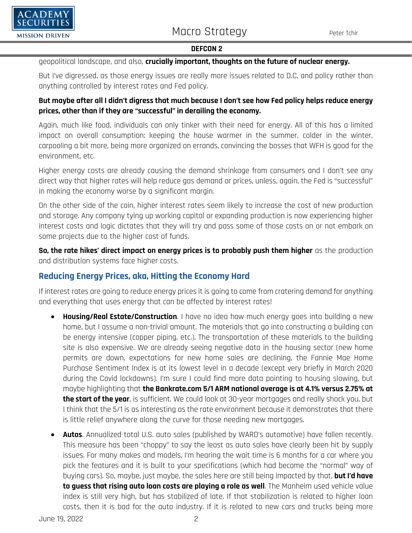



### geopolitical landscape, and also, **crucially important, thoughts on the future of nuclear energy.**

But I've digressed, as those energy issues are really more issues related to D.C. and policy rather than anything controlled by interest rates and Fed policy.

### **But maybe after all I didn't digress that much because I don't see how Fed policy helps reduce energy prices, other than if they are "successful" in derailing the economy.**

Again, much like food, individuals can only tinker with their need for energy. All of this has a limited impact on overall consumption: keeping the house warmer in the summer, colder in the winter, carpooling a bit more, being more organized on errands, convincing the bosses that WFH is good for the environment, etc.

Higher energy costs are already causing the demand shrinkage from consumers and I don't see any direct way that higher rates will help reduce gas demand or prices, unless, again, the Fed is "successful" in making the economy worse by a significant margin.

On the other side of the coin, higher interest rates seem likely to increase the cost of new production and storage. Any company tying up working capital or expanding production is now experiencing higher interest costs and logic dictates that they will try and pass some of those costs on or not embark on some projects due to the higher cost of funds.

**So, the rate hikes' direct impact on energy prices is to probably push them higher** as the production and distribution systems face higher costs.

# **Reducing Energy Prices, aka, Hitting the Economy Hard**

If interest rates are going to reduce energy prices it is going to come from cratering demand for anything and everything that uses energy that can be affected by interest rates!

- **Housing/Real Estate/Construction**. I have no idea how much energy goes into building a new home, but I assume a non-trivial amount. The materials that go into constructing a building can be energy intensive (copper piping, etc.). The transportation of these materials to the building site is also expensive. We are already seeing negative data in the housing sector (new home permits are down, expectations for new home sales are declining, the Fannie Mae Home Purchase Sentiment Index is at its lowest level in a decade (except very briefly in March 2020 during the Covid lockdowns). I'm sure I could find more data pointing to housing slowing, but maybe highlighting that **the Bankrate.com 5/1 ARM national average is at 4.1% versus 2.75% at the start of the year**, is sufficient. We could look at 30-year mortgages and really shock you, but I think that the 5/1 is as interesting as the rate environment because it demonstrates that there is little relief anywhere along the curve for those needing new mortgages.
- **Autos**. Annualized total U.S. auto sales (published by WARD's automotive) have fallen recently. This measure has been "choppy" to say the least as auto sales have clearly been hit by supply issues. For many makes and models, I'm hearing the wait time is 6 months for a car where you pick the features and it is built to your specifications (which had become the "normal" way of buying cars). So, maybe, just maybe, the sales here are still being impacted by that, **but I'd have to guess that rising auto loan costs are playing a role as well**. The Manheim used vehicle value index is still very high, but has stabilized of late. If that stabilization is related to higher loan costs, then it is bad for the auto industry. If it is related to new cars and trucks being more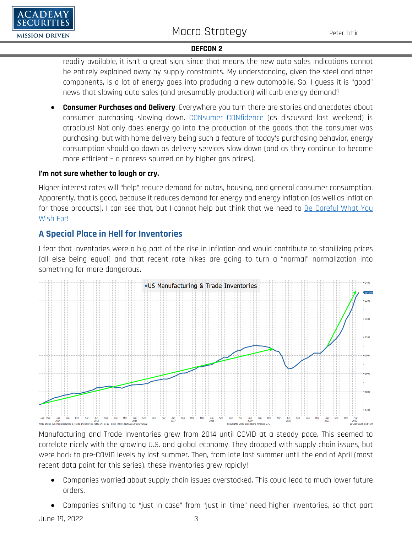

readily available, it isn't a great sign, since that means the new auto sales indications cannot be entirely explained away by supply constraints. My understanding, given the steel and other components, is a lot of energy goes into producing a new automobile. So, I guess it is "good" news that slowing auto sales (and presumably production) will curb energy demand?

• **Consumer Purchases and Delivery**. Everywhere you turn there are stories and anecdotes about consumer purchasing slowing down. [CONsumer CONfidence](https://www.academysecurities.com/wordpress/wp-content/uploads/2022/06/Why-Is-DEFCON-1-Higher-Than-DEFCON-5.pdf) (as discussed last weekend) is atrocious! Not only does energy go into the production of the goods that the consumer was purchasing, but with home delivery being such a feature of today's purchasing behavior, energy consumption should go down as delivery services slow down (and as they continue to become more efficient – a process spurred on by higher gas prices).

### **I'm not sure whether to laugh or cry.**

Higher interest rates will "help" reduce demand for autos, housing, and general consumer consumption. Apparently, that is good, because it reduces demand for energy and energy inflation (as well as inflation for those products). I can see that, but I cannot help but think that we need to [Be Careful What You](https://www.academysecurities.com/wordpress/wp-content/uploads/2022/06/The-Academy-T-Report-Be-Careful-What-You-Wish-For.pdf)  [Wish For!](https://www.academysecurities.com/wordpress/wp-content/uploads/2022/06/The-Academy-T-Report-Be-Careful-What-You-Wish-For.pdf)

# **A Special Place in Hell for Inventories**

I fear that inventories were a big part of the rise in inflation and would contribute to stabilizing prices (all else being equal) and that recent rate hikes are going to turn a "normal" normalization into something far more dangerous.



Manufacturing and Trade Inventories grew from 2014 until COVID at a steady pace. This seemed to correlate nicely with the growing U.S. and global economy. They dropped with supply chain issues, but were back to pre-COVID levels by last summer. Then, from late last summer until the end of April (most recent data point for this series), these inventories grew rapidly!

- Companies worried about supply chain issues overstocked. This could lead to much lower future orders.
- Companies shifting to "just in case" from "just in time" need higher inventories, so that part

June 19, 2022 3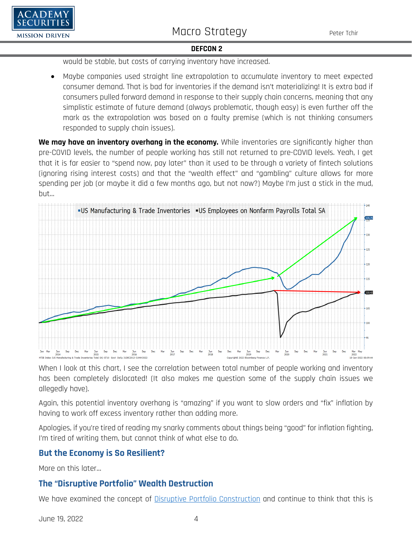



would be stable, but costs of carrying inventory have increased.

• Maybe companies used straight line extrapolation to accumulate inventory to meet expected consumer demand. That is bad for inventories if the demand isn't materializing! It is extra bad if consumers pulled forward demand in response to their supply chain concerns, meaning that any simplistic estimate of future demand (always problematic, though easy) is even further off the mark as the extrapolation was based on a faulty premise (which is not thinking consumers responded to supply chain issues).

**We may have an inventory overhang in the economy.** While inventories are significantly higher than pre-COVID levels, the number of people working has still not returned to pre-COVID levels. Yeah, I get that it is far easier to "spend now, pay later" than it used to be through a variety of fintech solutions (ignoring rising interest costs) and that the "wealth effect" and "gambling" culture allows for more spending per job (or maybe it did a few months ago, but not now?) Maybe I'm just a stick in the mud, but…



When I look at this chart, I see the correlation between total number of people working and inventory has been completely dislocated! (It also makes me question some of the supply chain issues we allegedly have).

Again, this potential inventory overhang is "amazing" if you want to slow orders and "fix" inflation by having to work off excess inventory rather than adding more.

Apologies, if you're tired of reading my snarky comments about things being "good" for inflation fighting, I'm tired of writing them, but cannot think of what else to do.

# **But the Economy is So Resilient?**

More on this later…

# **The "Disruptive Portfolio" Wealth Destruction**

We have examined the concept of **Disruptive Portfolio Construction** and continue to think that this is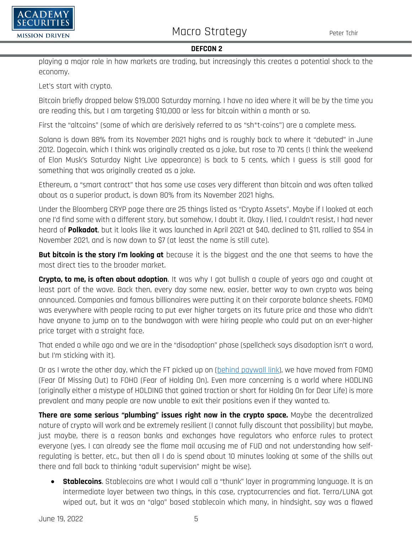

playing a major role in how markets are trading, but increasingly this creates a potential shock to the economy.

Let's start with crypto.

Bitcoin briefly dropped below \$19,000 Saturday morning. I have no idea where it will be by the time you are reading this, but I am targeting \$10,000 or less for bitcoin within a month or so.

First the "altcoins" (some of which are derisively referred to as "sh\*t-coins") are a complete mess.

Solana is down 88% from its November 2021 highs and is roughly back to where it "debuted" in June 2012. Dogecoin, which I think was originally created as a joke, but rose to 70 cents (I think the weekend of Elon Musk's Saturday Night Live appearance) is back to 5 cents, which I guess is still good for something that was originally created as a joke.

Ethereum, a "smart contract" that has some use cases very different than bitcoin and was often talked about as a superior product, is down 80% from its November 2021 highs.

Under the Bloomberg CRYP page there are 25 things listed as "Crypto Assets". Maybe if I looked at each one I'd find some with a different story, but somehow, I doubt it. Okay, I lied, I couldn't resist, I had never heard of **Polkadot**, but it looks like it was launched in April 2021 at \$40, declined to \$11, rallied to \$54 in November 2021, and is now down to \$7 (at least the name is still cute).

**But bitcoin is the story I'm looking at** because it is the biggest and the one that seems to have the most direct ties to the broader market.

**Crypto, to me, is often about adoption**. It was why I got bullish a couple of years ago and caught at least part of the wave. Back then, every day some new, easier, better way to own crypto was being announced. Companies and famous billionaires were putting it on their corporate balance sheets. FOMO was everywhere with people racing to put ever higher targets on its future price and those who didn't have anyone to jump on to the bandwagon with were hiring people who could put on an ever-higher price target with a straight face.

That ended a while ago and we are in the "disadoption" phase (spellcheck says disadoption isn't a word, but I'm sticking with it).

Or as I wrote the other day, which the FT picked up on [\(behind paywall link\)](https://www.ft.com/content/4c6b1794-6450-4a4e-ba43-20202624b7c3), we have moved from FOMO (Fear Of Missing Out) to FOHO (Fear of Holding On). Even more concerning is a world where HODLING (originally either a mistype of HOLDING that gained traction or short for Holding On for Dear Life) is more prevalent and many people are now unable to exit their positions even if they wanted to.

**There are some serious "plumbing" issues right now in the crypto space.** Maybe the decentralized nature of crypto will work and be extremely resilient (I cannot fully discount that possibility) but maybe, just maybe, there is a reason banks and exchanges have regulators who enforce rules to protect everyone (yes, I can already see the flame mail accusing me of FUD and not understanding how selfregulating is better, etc., but then all I do is spend about 10 minutes looking at some of the shills out there and fall back to thinking "adult supervision" might be wise).

• **Stablecoins**. Stablecoins are what I would call a "thunk" layer in programming language. It is an intermediate layer between two things, in this case, cryptocurrencies and fiat. Terra/LUNA got wiped out, but it was an "algo" based stablecoin which many, in hindsight, say was a flawed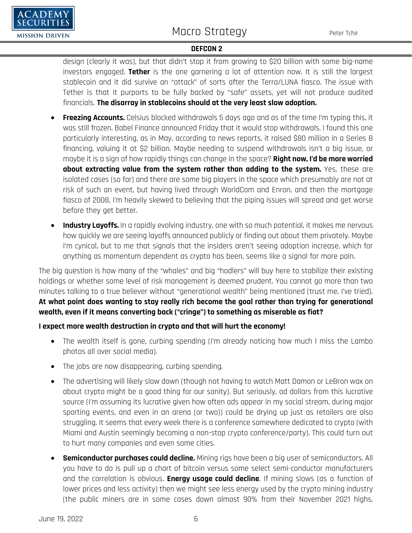

design (clearly it was), but that didn't stop it from growing to \$20 billion with some big-name investors engaged. **Tether** is the one garnering a lot of attention now. It is still the largest stablecoin and it did survive an "attack" of sorts after the Terra/LUNA fiasco. The issue with Tether is that it purports to be fully backed by "safe" assets, yet will not produce audited financials. **The disarray in stablecoins should at the very least slow adoption.**

- **Freezing Accounts.** Celsius blocked withdrawals 5 days ago and as of the time I'm typing this, it was still frozen. Babel Finance announced Friday that it would stop withdrawals. I found this one particularly interesting, as in May, according to news reports, it raised \$80 million in a Series B financing, valuing it at \$2 billion. Maybe needing to suspend withdrawals isn't a big issue, or maybe it is a sign of how rapidly things can change in the space? **Right now, I'd be more worried about extracting value from the system rather than adding to the system.** Yes, these are isolated cases (so far) and there are some big players in the space which presumably are not at risk of such an event, but having lived through WorldCom and Enron, and then the mortgage fiasco of 2008, I'm heavily skewed to believing that the piping issues will spread and get worse before they get better.
- **Industry Layoffs.** In a rapidly evolving industry, one with so much potential, it makes me nervous how quickly we are seeing layoffs announced publicly or finding out about them privately. Maybe I'm cynical, but to me that signals that the insiders aren't seeing adoption increase, which for anything as momentum dependent as crypto has been, seems like a signal for more pain.

The big question is how many of the "whales" and big "hodlers" will buy here to stabilize their existing holdings or whether some level of risk management is deemed prudent. You cannot go more than two minutes talking to a true believer without "generational wealth" being mentioned (trust me, I've tried). **At what point does wanting to stay really rich become the goal rather than trying for generational wealth, even if it means converting back ("cringe") to something as miserable as fiat?**

### **I expect more wealth destruction in crypto and that will hurt the economy!**

- The wealth itself is gone, curbing spending (I'm already noticing how much I miss the Lambo photos all over social media).
- The jobs are now disappearing, curbing spending.
- The advertising will likely slow down (though not having to watch Matt Damon or LeBron wax on about crypto might be a good thing for our sanity). But seriously, ad dollars from this lucrative source (I'm assuming its lucrative given how often ads appear in my social stream, during major sporting events, and even in an arena (or two)) could be drying up just as retailers are also struggling. It seems that every week there is a conference somewhere dedicated to crypto (with Miami and Austin seemingly becoming a non-stop crypto conference/party). This could turn out to hurt many companies and even some cities.
- **Semiconductor purchases could decline.** Mining rigs have been a big user of semiconductors. All you have to do is pull up a chart of bitcoin versus some select semi-conductor manufacturers and the correlation is obvious. **Energy usage could decline**. If mining slows (as a function of lower prices and less activity) then we might see less energy used by the crypto mining industry (the public miners are in some cases down almost 90% from their November 2021 highs,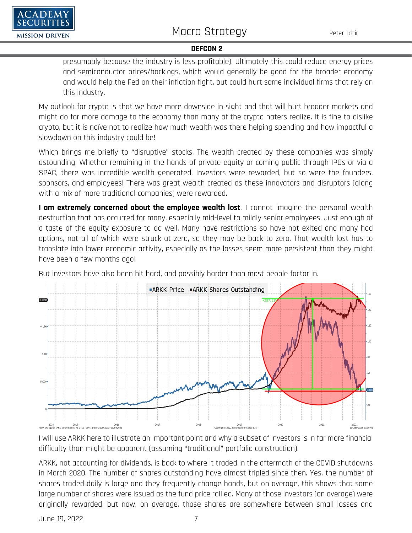presumably because the industry is less profitable). Ultimately this could reduce energy prices and semiconductor prices/backlogs, which would generally be good for the broader economy and would help the Fed on their inflation fight, but could hurt some individual firms that rely on this industry.

My outlook for crypto is that we have more downside in sight and that will hurt broader markets and might do far more damage to the economy than many of the crypto haters realize. It is fine to dislike crypto, but it is naïve not to realize how much wealth was there helping spending and how impactful a slowdown on this industry could be!

Which brings me briefly to "disruptive" stocks. The wealth created by these companies was simply astounding. Whether remaining in the hands of private equity or coming public through IPOs or via a SPAC, there was incredible wealth generated. Investors were rewarded, but so were the founders, sponsors, and employees! There was great wealth created as these innovators and disruptors (along with a mix of more traditional companies) were rewarded.

**I am extremely concerned about the employee wealth lost.** I cannot imagine the personal wealth destruction that has occurred for many, especially mid-level to mildly senior employees. Just enough of a taste of the equity exposure to do well. Many have restrictions so have not exited and many had options, not all of which were struck at zero, so they may be back to zero. That wealth lost has to translate into lower economic activity, especially as the losses seem more persistent than they might have been a few months ago!

But investors have also been hit hard, and possibly harder than most people factor in.



I will use ARKK here to illustrate an important point and why a subset of investors is in far more financial difficulty than might be apparent (assuming "traditional" portfolio construction).

ARKK, not accounting for dividends, is back to where it traded in the aftermath of the COVID shutdowns in March 2020. The number of shares outstanding have almost tripled since then. Yes, the number of shares traded daily is large and they frequently change hands, but on average, this shows that some large number of shares were issued as the fund price rallied. Many of those investors (on average) were originally rewarded, but now, on average, those shares are somewhere between small losses and

 $A$  DEMY

**MISSION DRIVEN**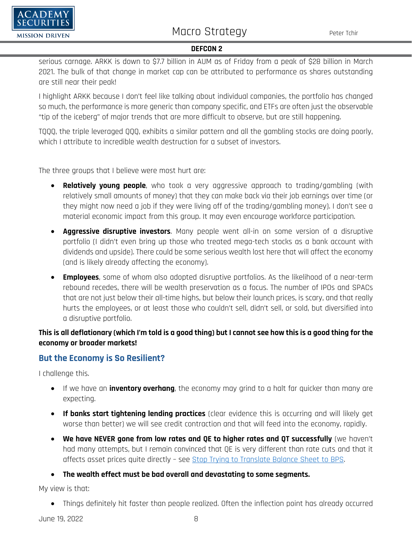

serious carnage. ARKK is down to \$7.7 billion in AUM as of Friday from a peak of \$28 billion in March 2021. The bulk of that change in market cap can be attributed to performance as shares outstanding are still near their peak!

I highlight ARKK because I don't feel like talking about individual companies, the portfolio has changed so much, the performance is more generic than company specific, and ETFs are often just the observable "tip of the iceberg" of major trends that are more difficult to observe, but are still happening.

TQQQ, the triple leveraged QQQ, exhibits a similar pattern and all the gambling stocks are doing poorly, which I attribute to incredible wealth destruction for a subset of investors.

The three groups that I believe were most hurt are:

- **Relatively young people**, who took a very aggressive approach to trading/gambling (with relatively small amounts of money) that they can make back via their job earnings over time (or they might now need a job if they were living off of the trading/gambling money). I don't see a material economic impact from this group. It may even encourage workforce participation.
- **Aggressive disruptive investors**. Many people went all-in on some version of a disruptive portfolio (I didn't even bring up those who treated mega-tech stocks as a bank account with dividends and upside). There could be some serious wealth lost here that will affect the economy (and is likely already affecting the economy).
- **Employees**, some of whom also adopted disruptive portfolios. As the likelihood of a near-term rebound recedes, there will be wealth preservation as a focus. The number of IPOs and SPACs that are not just below their all-time highs, but below their launch prices, is scary, and that really hurts the employees, or at least those who couldn't sell, didn't sell, or sold, but diversified into a disruptive portfolio.

## **This is all deflationary (which I'm told is a good thing) but I cannot see how this is a good thing for the economy or broader markets!**

## **But the Economy is So Resilient?**

I challenge this.

CADEMY **URITIES** 

**MISSION DRIVEN** 

- If we have an **inventory overhang**, the economy may grind to a halt far quicker than many are expecting.
- **If banks start tightening lending practices** (clear evidence this is occurring and will likely get worse than better) we will see credit contraction and that will feed into the economy, rapidly.
- **We have NEVER gone from low rates and QE to higher rates and QT successfully** (we haven't had many attempts, but I remain convinced that QE is very different than rate cuts and that it affects asset prices quite directly – see [Stop Trying to Translate Balance Sheet to BPS.](https://www.academysecurities.com/wordpress/wp-content/uploads/2022/04/Horsepower-Rube-Goldberg-Translating-QT-to-BPS.pdf)

• **The wealth effect must be bad overall and devastating to some segments.** 

My view is that:

• Things definitely hit faster than people realized. Often the inflection point has already occurred

June 19, 2022 8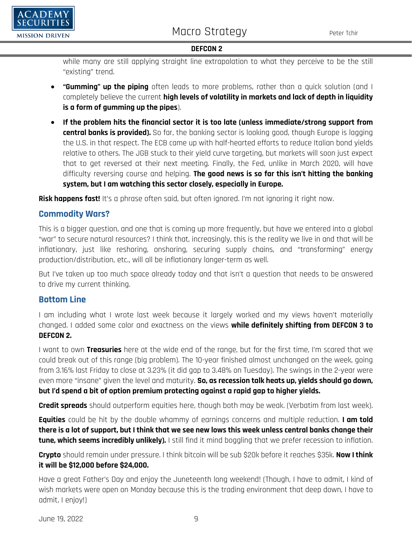

while many are still applying straight line extrapolation to what they perceive to be the still "existing" trend.

- **"Gumming" up the piping** often leads to more problems, rather than a quick solution (and I completely believe the current **high levels of volatility in markets and lack of depth in liquidity is a form of gumming up the pipes**).
- **If the problem hits the financial sector it is too late (unless immediate/strong support from central banks is provided).** So far, the banking sector is looking good, though Europe is lagging the U.S. in that respect. The ECB came up with half-hearted efforts to reduce Italian bond yields relative to others. The JGB stuck to their yield curve targeting, but markets will soon just expect that to get reversed at their next meeting. Finally, the Fed, unlike in March 2020, will have difficulty reversing course and helping. **The good news is so far this isn't hitting the banking system, but I am watching this sector closely, especially in Europe.**

**Risk happens fast!** It's a phrase often said, but often ignored. I'm not ignoring it right now.

## **Commodity Wars?**

This is a bigger question, and one that is coming up more frequently, but have we entered into a global "war" to secure natural resources? I think that, increasingly, this is the reality we live in and that will be inflationary, just like reshoring, onshoring, securing supply chains, and "transforming" energy production/distribution, etc., will all be inflationary longer-term as well.

But I've taken up too much space already today and that isn't a question that needs to be answered to drive my current thinking.

## **Bottom Line**

I am including what I wrote last week because it largely worked and my views haven't materially changed. I added some color and exactness on the views **while definitely shifting from DEFCON 3 to DEFCON 2.**

I want to own **Treasuries** here at the wide end of the range, but for the first time, I'm scared that we could break out of this range (big problem). The 10-year finished almost unchanged on the week, going from 3.16% last Friday to close at 3.23% (it did gap to 3.48% on Tuesday). The swings in the 2-year were even more "insane" given the level and maturity. **So, as recession talk heats up, yields should go down, but I'd spend a bit of option premium protecting against a rapid gap to higher yields.**

**Credit spreads** should outperform equities here, though both may be weak. (Verbatim from last week).

**Equities** could be hit by the double whammy of earnings concerns and multiple reduction. **I am told there is a lot of support, but I think that we see new lows this week unless central banks change their tune, which seems incredibly unlikely).** I still find it mind boggling that we prefer recession to inflation.

**Crypto** should remain under pressure. I think bitcoin will be sub \$20k before it reaches \$35k. **Now I think it will be \$12,000 before \$24,000.**

Have a great Father's Day and enjoy the Juneteenth long weekend! (Though, I have to admit, I kind of wish markets were open on Monday because this is the trading environment that deep down, I have to admit, I enjoy!)